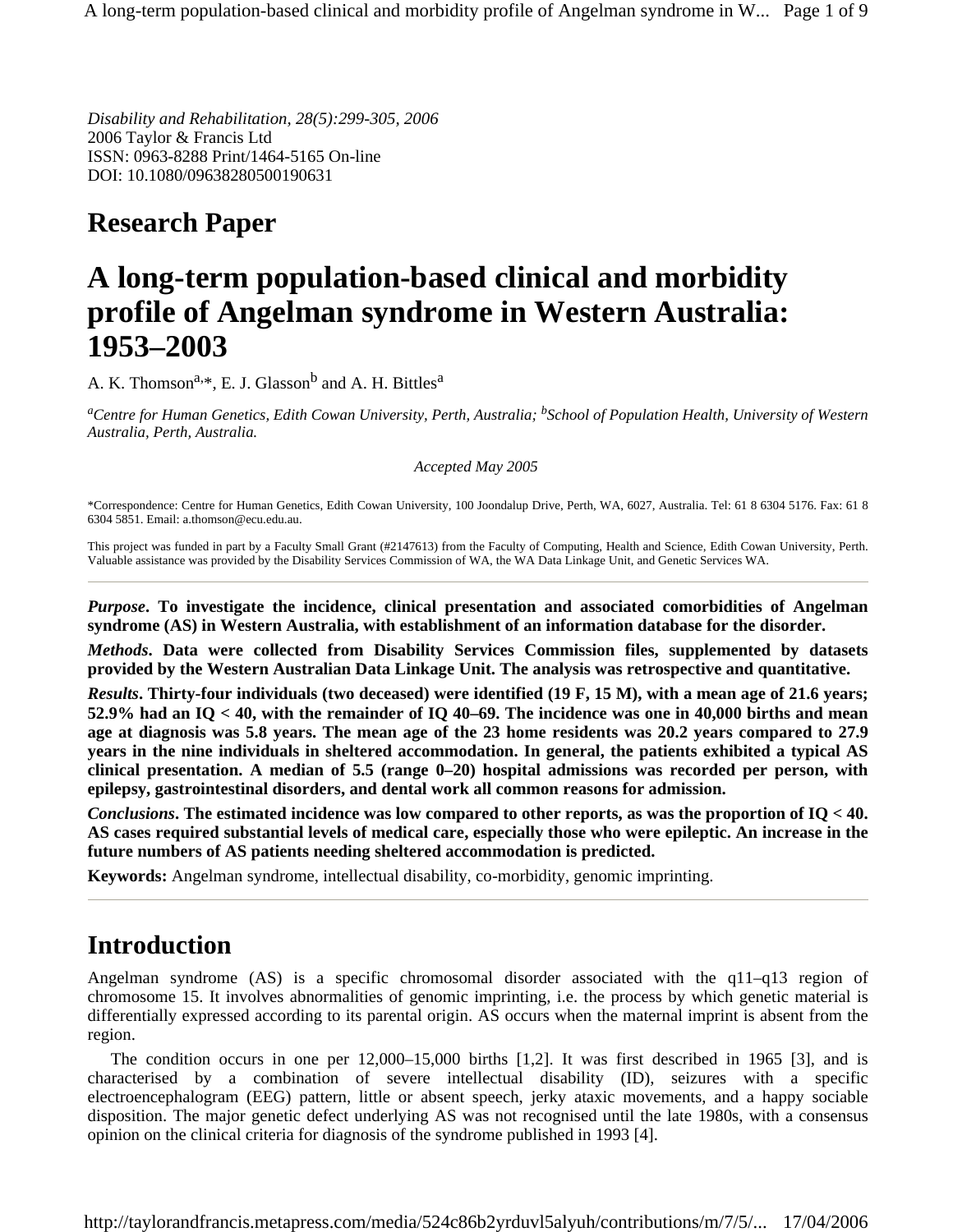*Disability and Rehabilitation, 28(5):299-305, 2006*  2006 Taylor & Francis Ltd ISSN: 0963-8288 Print/1464-5165 On-line DOI: 10.1080/09638280500190631

# **Research Paper**

# **A long-term population-based clinical and morbidity profile of Angelman syndrome in Western Australia: 1953–2003**

A. K. Thomson<sup>a,\*</sup>, E. J. Glasson<sup>b</sup> and A. H. Bittles<sup>a</sup>

*aCentre for Human Genetics, Edith Cowan University, Perth, Australia; bSchool of Population Health, University of Western Australia, Perth, Australia.* 

*Accepted May 2005* 

\*Correspondence: Centre for Human Genetics, Edith Cowan University, 100 Joondalup Drive, Perth, WA, 6027, Australia. Tel: 61 8 6304 5176. Fax: 61 8 6304 5851. Email: a.thomson@ecu.edu.au.

This project was funded in part by a Faculty Small Grant (#2147613) from the Faculty of Computing, Health and Science, Edith Cowan University, Perth. Valuable assistance was provided by the Disability Services Commission of WA, the WA Data Linkage Unit, and Genetic Services WA.

*Purpose***. To investigate the incidence, clinical presentation and associated comorbidities of Angelman syndrome (AS) in Western Australia, with establishment of an information database for the disorder.** 

*Methods***. Data were collected from Disability Services Commission files, supplemented by datasets provided by the Western Australian Data Linkage Unit. The analysis was retrospective and quantitative.** 

*Results***. Thirty-four individuals (two deceased) were identified (19 F, 15 M), with a mean age of 21.6 years; 52.9% had an IQ < 40, with the remainder of IQ 40–69. The incidence was one in 40,000 births and mean age at diagnosis was 5.8 years. The mean age of the 23 home residents was 20.2 years compared to 27.9 years in the nine individuals in sheltered accommodation. In general, the patients exhibited a typical AS clinical presentation. A median of 5.5 (range 0–20) hospital admissions was recorded per person, with epilepsy, gastrointestinal disorders, and dental work all common reasons for admission.** 

*Conclusions***. The estimated incidence was low compared to other reports, as was the proportion of IQ < 40. AS cases required substantial levels of medical care, especially those who were epileptic. An increase in the future numbers of AS patients needing sheltered accommodation is predicted.** 

**Keywords:** Angelman syndrome, intellectual disability, co-morbidity, genomic imprinting.

## **Introduction**

Angelman syndrome (AS) is a specific chromosomal disorder associated with the q11–q13 region of chromosome 15. It involves abnormalities of genomic imprinting, i.e. the process by which genetic material is differentially expressed according to its parental origin. AS occurs when the maternal imprint is absent from the region.

The condition occurs in one per 12,000–15,000 births [1,2]. It was first described in 1965 [3], and is characterised by a combination of severe intellectual disability (ID), seizures with a specific electroencephalogram (EEG) pattern, little or absent speech, jerky ataxic movements, and a happy sociable disposition. The major genetic defect underlying AS was not recognised until the late 1980s, with a consensus opinion on the clinical criteria for diagnosis of the syndrome published in 1993 [4].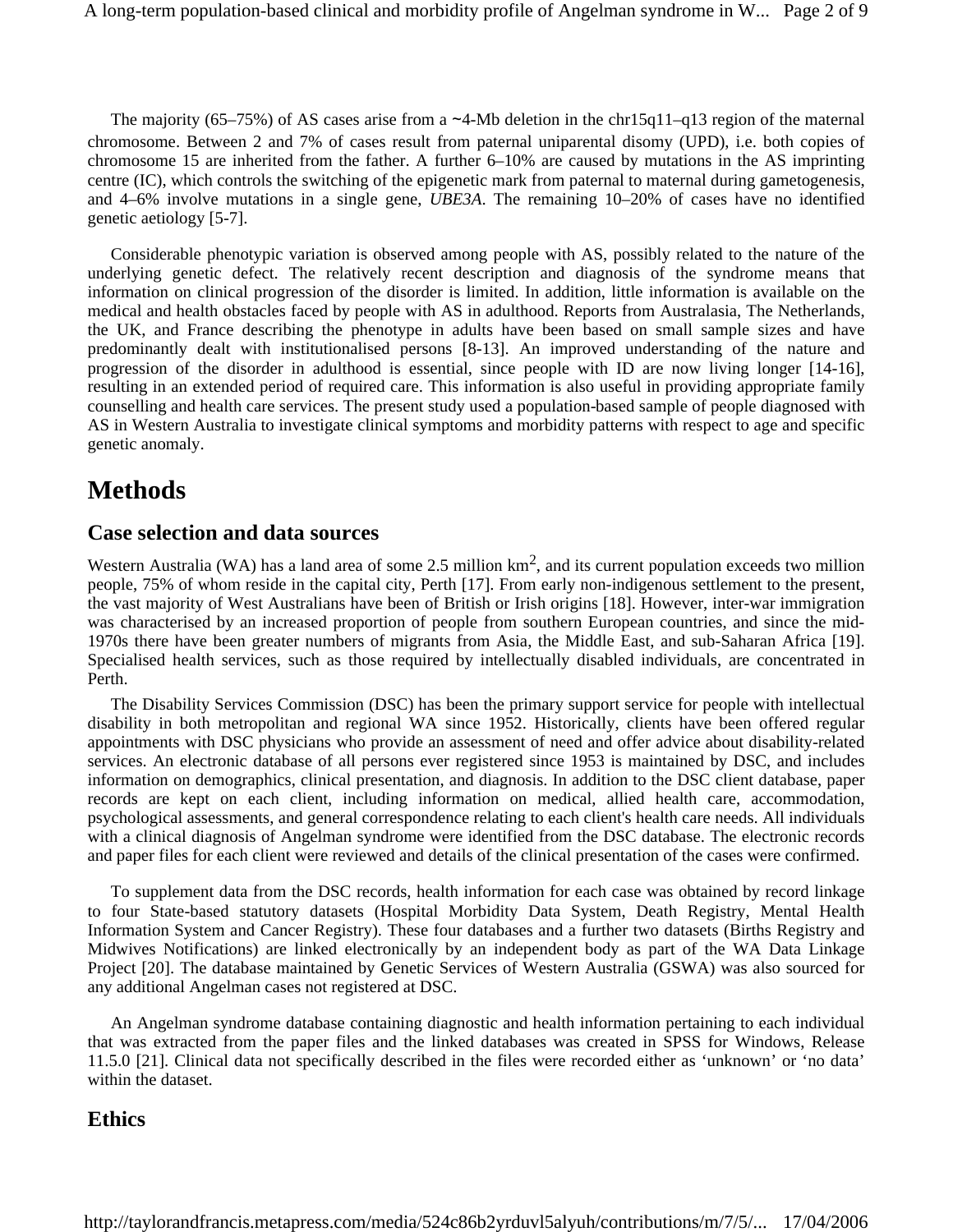The majority (65–75%) of AS cases arise from a ∼4-Mb deletion in the chr15q11–q13 region of the maternal chromosome. Between 2 and 7% of cases result from paternal uniparental disomy (UPD), i.e. both copies of chromosome 15 are inherited from the father. A further 6–10% are caused by mutations in the AS imprinting centre (IC), which controls the switching of the epigenetic mark from paternal to maternal during gametogenesis, and 4–6% involve mutations in a single gene, *UBE3A*. The remaining 10–20% of cases have no identified genetic aetiology [5-7].

Considerable phenotypic variation is observed among people with AS, possibly related to the nature of the underlying genetic defect. The relatively recent description and diagnosis of the syndrome means that information on clinical progression of the disorder is limited. In addition, little information is available on the medical and health obstacles faced by people with AS in adulthood. Reports from Australasia, The Netherlands, the UK, and France describing the phenotype in adults have been based on small sample sizes and have predominantly dealt with institutionalised persons [8-13]. An improved understanding of the nature and progression of the disorder in adulthood is essential, since people with ID are now living longer [14-16], resulting in an extended period of required care. This information is also useful in providing appropriate family counselling and health care services. The present study used a population-based sample of people diagnosed with AS in Western Australia to investigate clinical symptoms and morbidity patterns with respect to age and specific genetic anomaly.

## **Methods**

#### **Case selection and data sources**

Western Australia (WA) has a land area of some 2.5 million  $km^2$ , and its current population exceeds two million people, 75% of whom reside in the capital city, Perth [17]. From early non-indigenous settlement to the present, the vast majority of West Australians have been of British or Irish origins [18]. However, inter-war immigration was characterised by an increased proportion of people from southern European countries, and since the mid-1970s there have been greater numbers of migrants from Asia, the Middle East, and sub-Saharan Africa [19]. Specialised health services, such as those required by intellectually disabled individuals, are concentrated in Perth.

The Disability Services Commission (DSC) has been the primary support service for people with intellectual disability in both metropolitan and regional WA since 1952. Historically, clients have been offered regular appointments with DSC physicians who provide an assessment of need and offer advice about disability-related services. An electronic database of all persons ever registered since 1953 is maintained by DSC, and includes information on demographics, clinical presentation, and diagnosis. In addition to the DSC client database, paper records are kept on each client, including information on medical, allied health care, accommodation, psychological assessments, and general correspondence relating to each client's health care needs. All individuals with a clinical diagnosis of Angelman syndrome were identified from the DSC database. The electronic records and paper files for each client were reviewed and details of the clinical presentation of the cases were confirmed.

To supplement data from the DSC records, health information for each case was obtained by record linkage to four State-based statutory datasets (Hospital Morbidity Data System, Death Registry, Mental Health Information System and Cancer Registry). These four databases and a further two datasets (Births Registry and Midwives Notifications) are linked electronically by an independent body as part of the WA Data Linkage Project [20]. The database maintained by Genetic Services of Western Australia (GSWA) was also sourced for any additional Angelman cases not registered at DSC.

An Angelman syndrome database containing diagnostic and health information pertaining to each individual that was extracted from the paper files and the linked databases was created in SPSS for Windows, Release 11.5.0 [21]. Clinical data not specifically described in the files were recorded either as 'unknown' or 'no data' within the dataset.

#### **Ethics**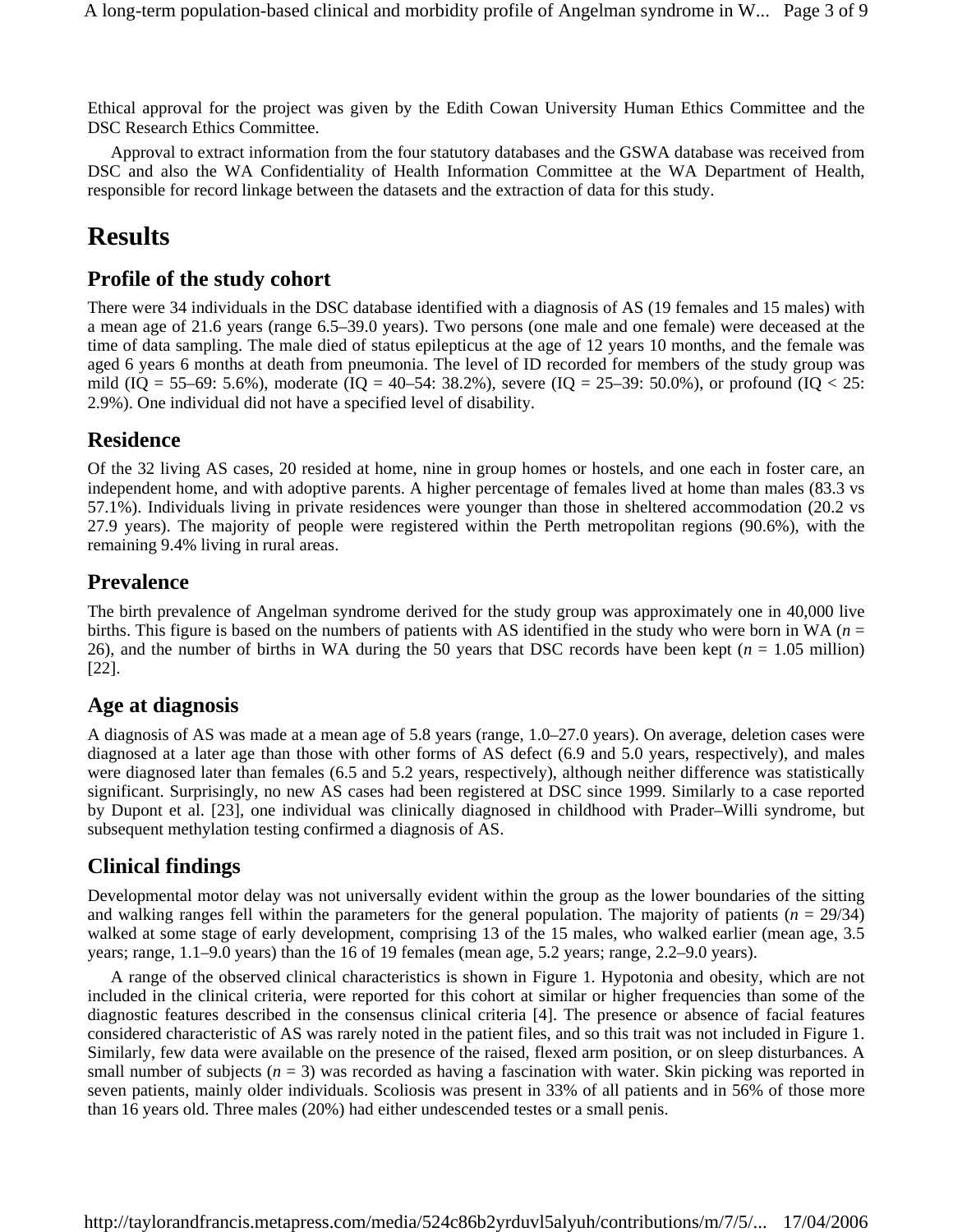Ethical approval for the project was given by the Edith Cowan University Human Ethics Committee and the DSC Research Ethics Committee.

Approval to extract information from the four statutory databases and the GSWA database was received from DSC and also the WA Confidentiality of Health Information Committee at the WA Department of Health, responsible for record linkage between the datasets and the extraction of data for this study.

## **Results**

#### **Profile of the study cohort**

There were 34 individuals in the DSC database identified with a diagnosis of AS (19 females and 15 males) with a mean age of 21.6 years (range 6.5–39.0 years). Two persons (one male and one female) were deceased at the time of data sampling. The male died of status epilepticus at the age of 12 years 10 months, and the female was aged 6 years 6 months at death from pneumonia. The level of ID recorded for members of the study group was mild (IQ = 55–69: 5.6%), moderate (IQ = 40–54: 38.2%), severe (IQ = 25–39: 50.0%), or profound (IQ < 25: 2.9%). One individual did not have a specified level of disability.

#### **Residence**

Of the 32 living AS cases, 20 resided at home, nine in group homes or hostels, and one each in foster care, an independent home, and with adoptive parents. A higher percentage of females lived at home than males (83.3 vs 57.1%). Individuals living in private residences were younger than those in sheltered accommodation (20.2 vs 27.9 years). The majority of people were registered within the Perth metropolitan regions (90.6%), with the remaining 9.4% living in rural areas.

#### **Prevalence**

The birth prevalence of Angelman syndrome derived for the study group was approximately one in 40,000 live births. This figure is based on the numbers of patients with AS identified in the study who were born in WA (*n* = 26), and the number of births in WA during the 50 years that DSC records have been kept (*n* = 1.05 million) [22].

#### **Age at diagnosis**

A diagnosis of AS was made at a mean age of 5.8 years (range, 1.0–27.0 years). On average, deletion cases were diagnosed at a later age than those with other forms of AS defect (6.9 and 5.0 years, respectively), and males were diagnosed later than females (6.5 and 5.2 years, respectively), although neither difference was statistically significant. Surprisingly, no new AS cases had been registered at DSC since 1999. Similarly to a case reported by Dupont et al. [23], one individual was clinically diagnosed in childhood with Prader–Willi syndrome, but subsequent methylation testing confirmed a diagnosis of AS.

#### **Clinical findings**

Developmental motor delay was not universally evident within the group as the lower boundaries of the sitting and walking ranges fell within the parameters for the general population. The majority of patients  $(n = 29/34)$ walked at some stage of early development, comprising 13 of the 15 males, who walked earlier (mean age, 3.5) years; range, 1.1–9.0 years) than the 16 of 19 females (mean age, 5.2 years; range, 2.2–9.0 years).

A range of the observed clinical characteristics is shown in Figure 1. Hypotonia and obesity, which are not included in the clinical criteria, were reported for this cohort at similar or higher frequencies than some of the diagnostic features described in the consensus clinical criteria [4]. The presence or absence of facial features considered characteristic of AS was rarely noted in the patient files, and so this trait was not included in Figure 1. Similarly, few data were available on the presence of the raised, flexed arm position, or on sleep disturbances. A small number of subjects  $(n = 3)$  was recorded as having a fascination with water. Skin picking was reported in seven patients, mainly older individuals. Scoliosis was present in 33% of all patients and in 56% of those more than 16 years old. Three males (20%) had either undescended testes or a small penis.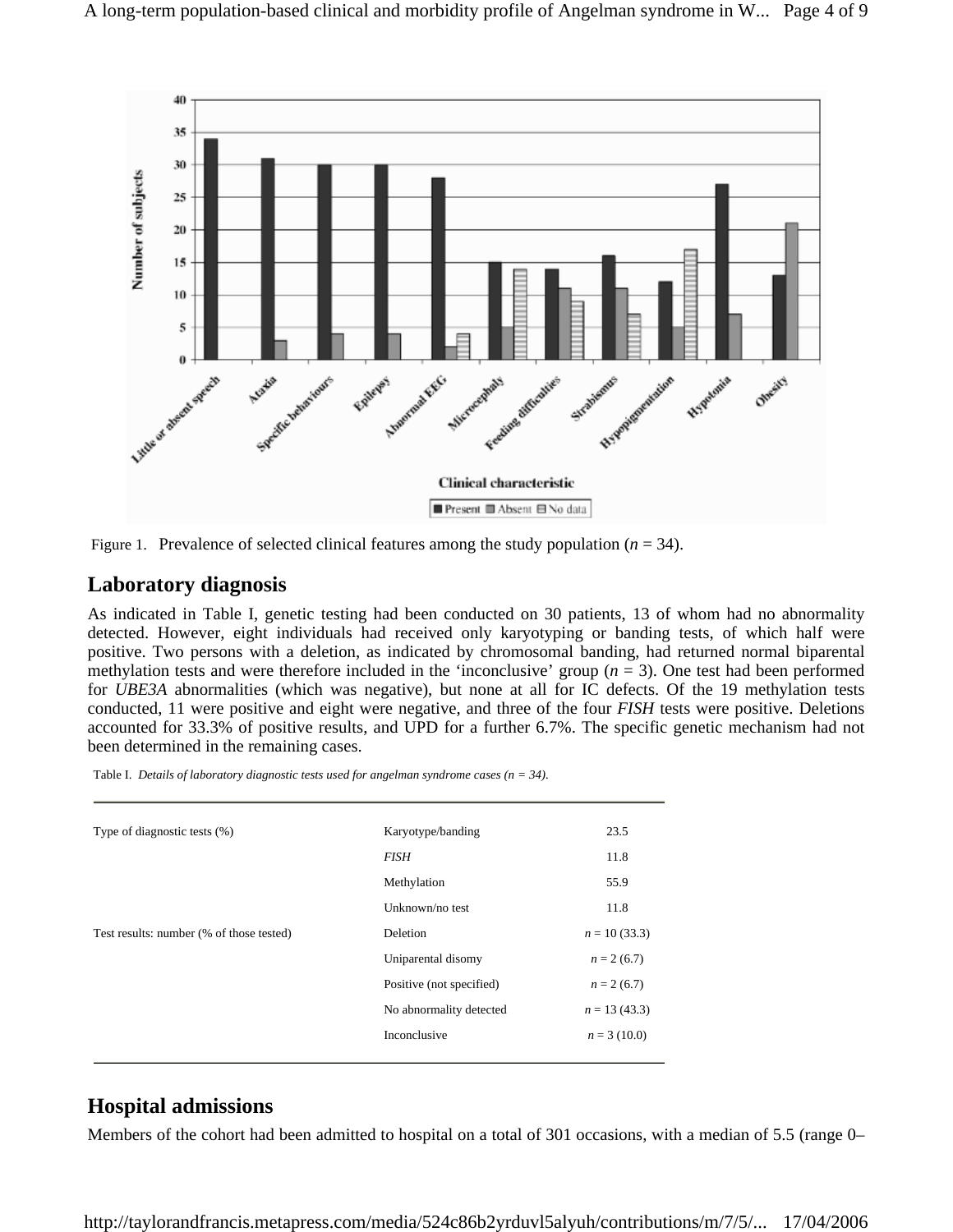

Figure 1. Prevalence of selected clinical features among the study population  $(n = 34)$ .

#### **Laboratory diagnosis**

As indicated in Table I, genetic testing had been conducted on 30 patients, 13 of whom had no abnormality detected. However, eight individuals had received only karyotyping or banding tests, of which half were positive. Two persons with a deletion, as indicated by chromosomal banding, had returned normal biparental methylation tests and were therefore included in the 'inconclusive' group  $(n = 3)$ . One test had been performed for *UBE3A* abnormalities (which was negative), but none at all for IC defects. Of the 19 methylation tests conducted, 11 were positive and eight were negative, and three of the four *FISH* tests were positive. Deletions accounted for 33.3% of positive results, and UPD for a further 6.7%. The specific genetic mechanism had not been determined in the remaining cases.

| Table I. Details of laboratory diagnostic tests used for angelman syndrome cases ( $n = 34$ ). |  |  |
|------------------------------------------------------------------------------------------------|--|--|
|                                                                                                |  |  |

| Type of diagnostic tests (%)             | Karyotype/banding        | 23.5           |
|------------------------------------------|--------------------------|----------------|
|                                          | <b>FISH</b>              | 11.8           |
|                                          | Methylation              | 55.9           |
|                                          | Unknown/no test          | 11.8           |
| Test results: number (% of those tested) | Deletion                 | $n = 10(33.3)$ |
|                                          | Uniparental disomy       | $n = 2(6.7)$   |
|                                          | Positive (not specified) | $n = 2(6.7)$   |
|                                          | No abnormality detected  | $n = 13(43.3)$ |
|                                          | Inconclusive             | $n = 3(10.0)$  |
|                                          |                          |                |

#### **Hospital admissions**

Members of the cohort had been admitted to hospital on a total of 301 occasions, with a median of 5.5 (range 0–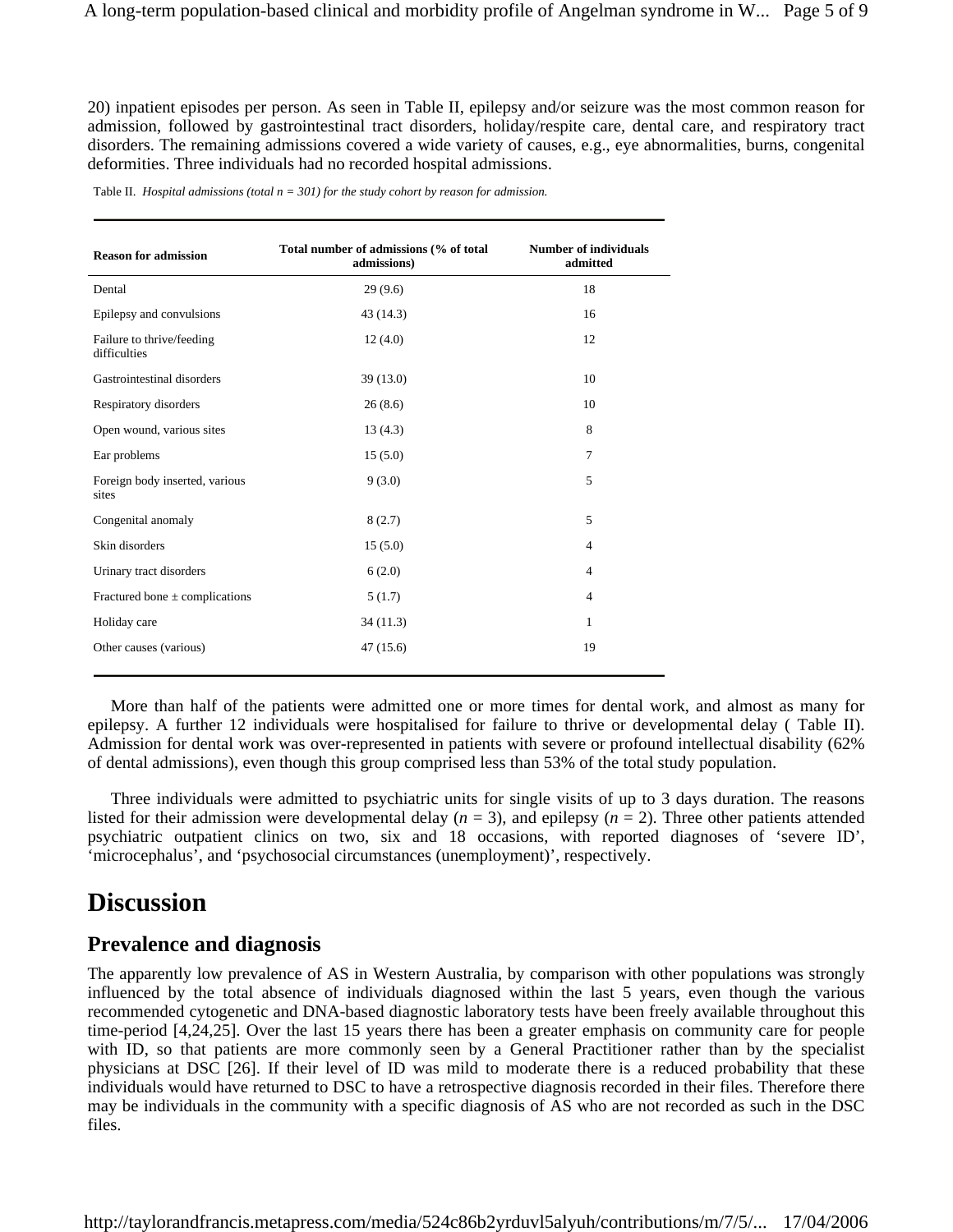20) inpatient episodes per person. As seen in Table II, epilepsy and/or seizure was the most common reason for admission, followed by gastrointestinal tract disorders, holiday/respite care, dental care, and respiratory tract disorders. The remaining admissions covered a wide variety of causes, e.g., eye abnormalities, burns, congenital deformities. Three individuals had no recorded hospital admissions.

|  |  | Table II. Hospital admissions (total $n = 301$ ) for the study cohort by reason for admission. |  |  |  |  |  |  |
|--|--|------------------------------------------------------------------------------------------------|--|--|--|--|--|--|
|--|--|------------------------------------------------------------------------------------------------|--|--|--|--|--|--|

| <b>Reason for admission</b>               | Total number of admissions (% of total<br>admissions) | <b>Number of individuals</b><br>admitted |
|-------------------------------------------|-------------------------------------------------------|------------------------------------------|
| Dental                                    | 29(9.6)                                               | 18                                       |
| Epilepsy and convulsions                  | 43 (14.3)                                             | 16                                       |
| Failure to thrive/feeding<br>difficulties | 12(4.0)                                               | 12                                       |
| Gastrointestinal disorders                | 39(13.0)                                              | 10                                       |
| Respiratory disorders                     | 26(8.6)                                               | 10                                       |
| Open wound, various sites                 | 13(4.3)                                               | 8                                        |
| Ear problems                              | 15(5.0)                                               | 7                                        |
| Foreign body inserted, various<br>sites   | 9(3.0)                                                | 5                                        |
| Congenital anomaly                        | 8(2.7)                                                | 5                                        |
| Skin disorders                            | 15(5.0)                                               | $\overline{4}$                           |
| Urinary tract disorders                   | 6(2.0)                                                | $\overline{4}$                           |
| Fractured bone $\pm$ complications        | 5(1.7)                                                | $\overline{4}$                           |
| Holiday care                              | 34(11.3)                                              | 1                                        |
| Other causes (various)                    | 47(15.6)                                              | 19                                       |

More than half of the patients were admitted one or more times for dental work, and almost as many for epilepsy. A further 12 individuals were hospitalised for failure to thrive or developmental delay ( Table II). Admission for dental work was over-represented in patients with severe or profound intellectual disability (62% of dental admissions), even though this group comprised less than 53% of the total study population.

Three individuals were admitted to psychiatric units for single visits of up to 3 days duration. The reasons listed for their admission were developmental delay  $(n = 3)$ , and epilepsy  $(n = 2)$ . Three other patients attended psychiatric outpatient clinics on two, six and 18 occasions, with reported diagnoses of 'severe ID', 'microcephalus', and 'psychosocial circumstances (unemployment)', respectively.

### **Discussion**

#### **Prevalence and diagnosis**

The apparently low prevalence of AS in Western Australia, by comparison with other populations was strongly influenced by the total absence of individuals diagnosed within the last 5 years, even though the various recommended cytogenetic and DNA-based diagnostic laboratory tests have been freely available throughout this time-period [4,24,25]. Over the last 15 years there has been a greater emphasis on community care for people with ID, so that patients are more commonly seen by a General Practitioner rather than by the specialist physicians at DSC [26]. If their level of ID was mild to moderate there is a reduced probability that these individuals would have returned to DSC to have a retrospective diagnosis recorded in their files. Therefore there may be individuals in the community with a specific diagnosis of AS who are not recorded as such in the DSC files.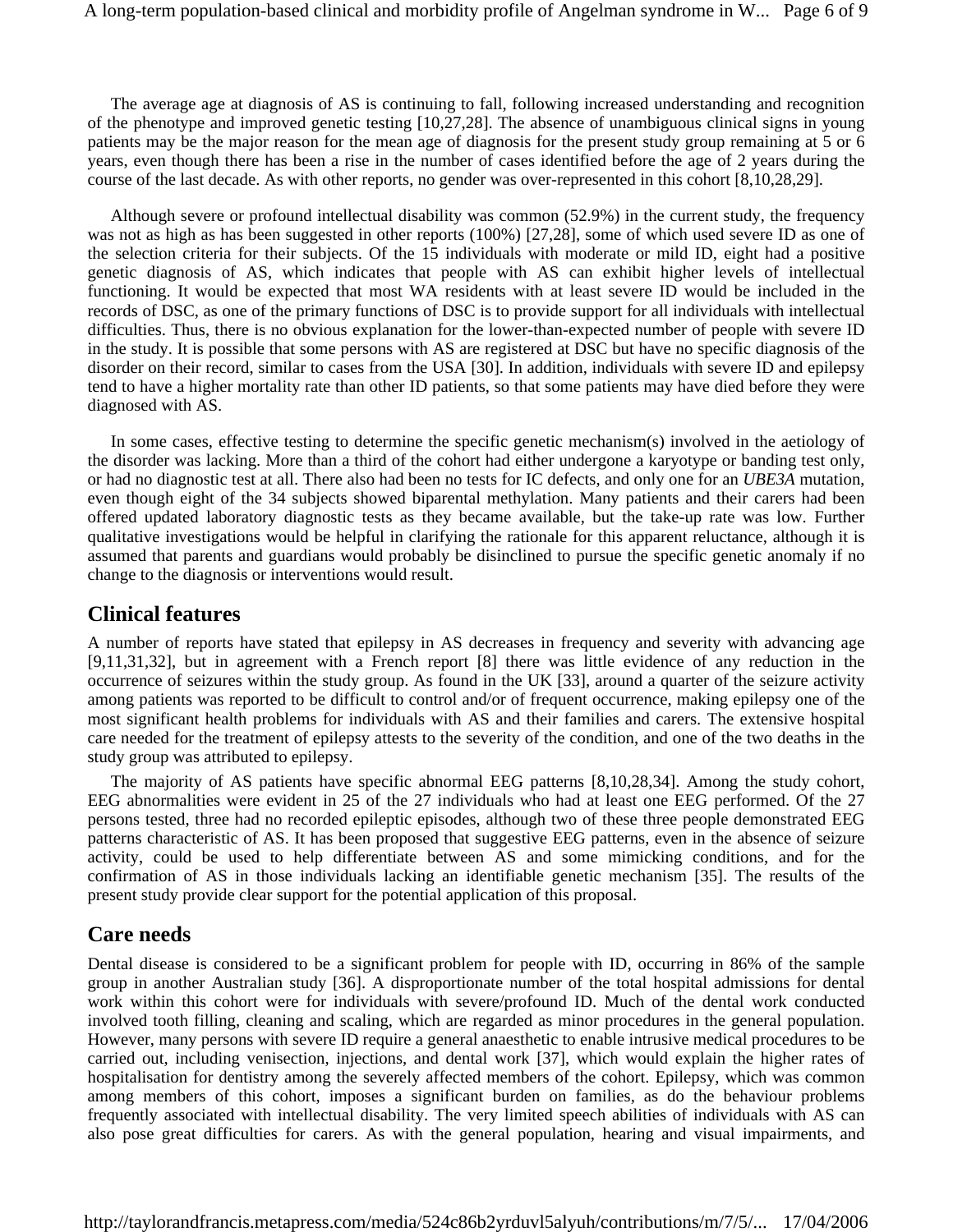The average age at diagnosis of AS is continuing to fall, following increased understanding and recognition of the phenotype and improved genetic testing [10,27,28]. The absence of unambiguous clinical signs in young patients may be the major reason for the mean age of diagnosis for the present study group remaining at 5 or 6 years, even though there has been a rise in the number of cases identified before the age of 2 years during the course of the last decade. As with other reports, no gender was over-represented in this cohort [8,10,28,29].

Although severe or profound intellectual disability was common (52.9%) in the current study, the frequency was not as high as has been suggested in other reports (100%) [27,28], some of which used severe ID as one of the selection criteria for their subjects. Of the 15 individuals with moderate or mild ID, eight had a positive genetic diagnosis of AS, which indicates that people with AS can exhibit higher levels of intellectual functioning. It would be expected that most WA residents with at least severe ID would be included in the records of DSC, as one of the primary functions of DSC is to provide support for all individuals with intellectual difficulties. Thus, there is no obvious explanation for the lower-than-expected number of people with severe ID in the study. It is possible that some persons with AS are registered at DSC but have no specific diagnosis of the disorder on their record, similar to cases from the USA [30]. In addition, individuals with severe ID and epilepsy tend to have a higher mortality rate than other ID patients, so that some patients may have died before they were diagnosed with AS.

In some cases, effective testing to determine the specific genetic mechanism(s) involved in the aetiology of the disorder was lacking. More than a third of the cohort had either undergone a karyotype or banding test only, or had no diagnostic test at all. There also had been no tests for IC defects, and only one for an *UBE3A* mutation, even though eight of the 34 subjects showed biparental methylation. Many patients and their carers had been offered updated laboratory diagnostic tests as they became available, but the take-up rate was low. Further qualitative investigations would be helpful in clarifying the rationale for this apparent reluctance, although it is assumed that parents and guardians would probably be disinclined to pursue the specific genetic anomaly if no change to the diagnosis or interventions would result.

#### **Clinical features**

A number of reports have stated that epilepsy in AS decreases in frequency and severity with advancing age [9,11,31,32], but in agreement with a French report [8] there was little evidence of any reduction in the occurrence of seizures within the study group. As found in the UK [33], around a quarter of the seizure activity among patients was reported to be difficult to control and/or of frequent occurrence, making epilepsy one of the most significant health problems for individuals with AS and their families and carers. The extensive hospital care needed for the treatment of epilepsy attests to the severity of the condition, and one of the two deaths in the study group was attributed to epilepsy.

The majority of AS patients have specific abnormal EEG patterns [8,10,28,34]. Among the study cohort, EEG abnormalities were evident in 25 of the 27 individuals who had at least one EEG performed. Of the 27 persons tested, three had no recorded epileptic episodes, although two of these three people demonstrated EEG patterns characteristic of AS. It has been proposed that suggestive EEG patterns, even in the absence of seizure activity, could be used to help differentiate between AS and some mimicking conditions, and for the confirmation of AS in those individuals lacking an identifiable genetic mechanism [35]. The results of the present study provide clear support for the potential application of this proposal.

#### **Care needs**

Dental disease is considered to be a significant problem for people with ID, occurring in 86% of the sample group in another Australian study [36]. A disproportionate number of the total hospital admissions for dental work within this cohort were for individuals with severe/profound ID. Much of the dental work conducted involved tooth filling, cleaning and scaling, which are regarded as minor procedures in the general population. However, many persons with severe ID require a general anaesthetic to enable intrusive medical procedures to be carried out, including venisection, injections, and dental work [37], which would explain the higher rates of hospitalisation for dentistry among the severely affected members of the cohort. Epilepsy, which was common among members of this cohort, imposes a significant burden on families, as do the behaviour problems frequently associated with intellectual disability. The very limited speech abilities of individuals with AS can also pose great difficulties for carers. As with the general population, hearing and visual impairments, and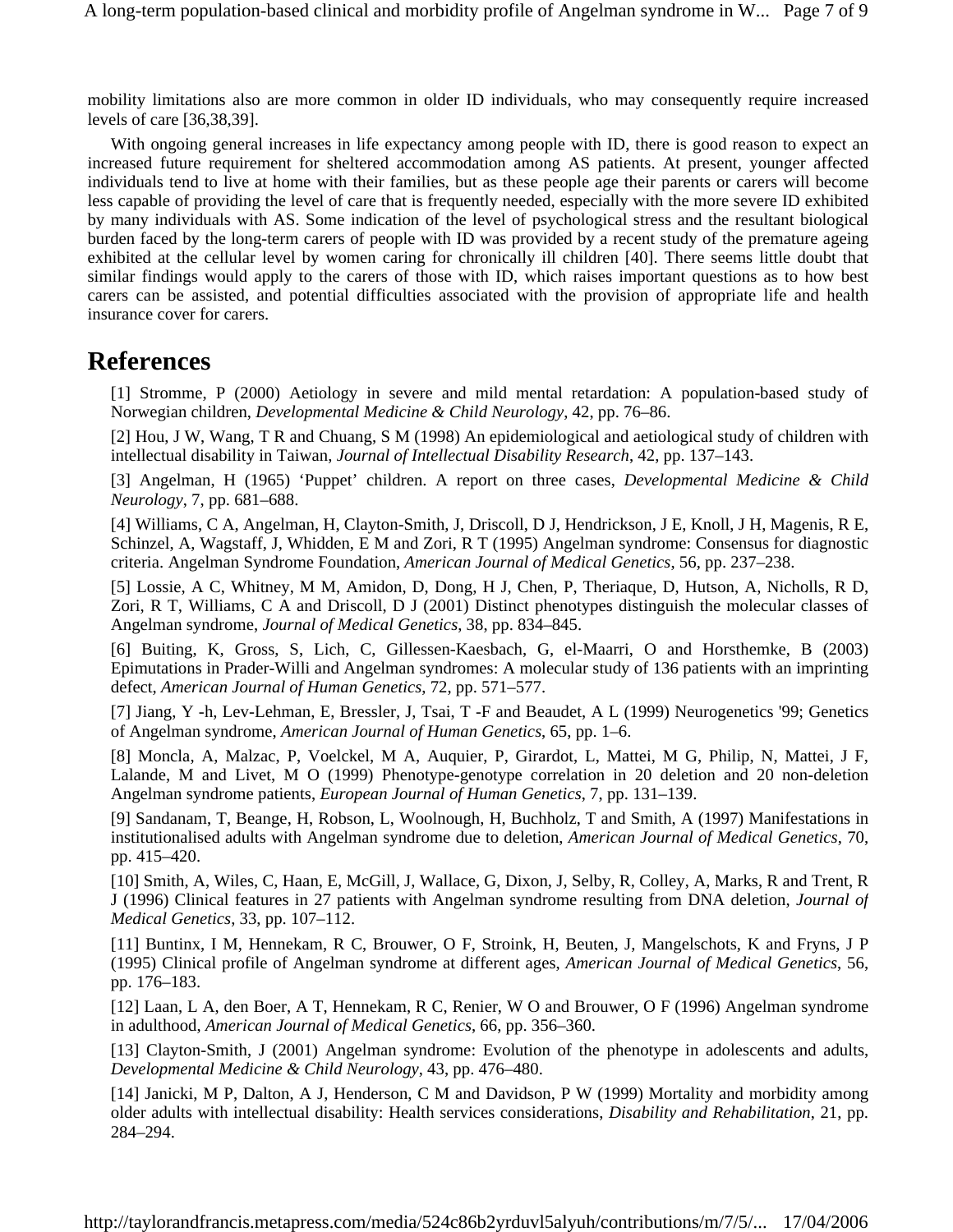mobility limitations also are more common in older ID individuals, who may consequently require increased levels of care [36,38,39].

With ongoing general increases in life expectancy among people with ID, there is good reason to expect an increased future requirement for sheltered accommodation among AS patients. At present, younger affected individuals tend to live at home with their families, but as these people age their parents or carers will become less capable of providing the level of care that is frequently needed, especially with the more severe ID exhibited by many individuals with AS. Some indication of the level of psychological stress and the resultant biological burden faced by the long-term carers of people with ID was provided by a recent study of the premature ageing exhibited at the cellular level by women caring for chronically ill children [40]. There seems little doubt that similar findings would apply to the carers of those with ID, which raises important questions as to how best carers can be assisted, and potential difficulties associated with the provision of appropriate life and health insurance cover for carers.

### **References**

[1] Stromme, P (2000) Aetiology in severe and mild mental retardation: A population-based study of Norwegian children, *Developmental Medicine & Child Neurology*, 42, pp. 76–86.

[2] Hou, J W, Wang, T R and Chuang, S M (1998) An epidemiological and aetiological study of children with intellectual disability in Taiwan, *Journal of Intellectual Disability Research*, 42, pp. 137–143.

[3] Angelman, H (1965) 'Puppet' children. A report on three cases, *Developmental Medicine & Child Neurology*, 7, pp. 681–688.

[4] Williams, C A, Angelman, H, Clayton-Smith, J, Driscoll, D J, Hendrickson, J E, Knoll, J H, Magenis, R E, Schinzel, A, Wagstaff, J, Whidden, E M and Zori, R T (1995) Angelman syndrome: Consensus for diagnostic criteria. Angelman Syndrome Foundation, *American Journal of Medical Genetics*, 56, pp. 237–238.

[5] Lossie, A C, Whitney, M M, Amidon, D, Dong, H J, Chen, P, Theriaque, D, Hutson, A, Nicholls, R D, Zori, R T, Williams, C A and Driscoll, D J (2001) Distinct phenotypes distinguish the molecular classes of Angelman syndrome, *Journal of Medical Genetics*, 38, pp. 834–845.

[6] Buiting, K, Gross, S, Lich, C, Gillessen-Kaesbach, G, el-Maarri, O and Horsthemke, B (2003) Epimutations in Prader-Willi and Angelman syndromes: A molecular study of 136 patients with an imprinting defect, *American Journal of Human Genetics*, 72, pp. 571–577.

[7] Jiang, Y -h, Lev-Lehman, E, Bressler, J, Tsai, T -F and Beaudet, A L (1999) Neurogenetics '99; Genetics of Angelman syndrome, *American Journal of Human Genetics*, 65, pp. 1–6.

[8] Moncla, A, Malzac, P, Voelckel, M A, Auquier, P, Girardot, L, Mattei, M G, Philip, N, Mattei, J F, Lalande, M and Livet, M O (1999) Phenotype-genotype correlation in 20 deletion and 20 non-deletion Angelman syndrome patients, *European Journal of Human Genetics*, 7, pp. 131–139.

[9] Sandanam, T, Beange, H, Robson, L, Woolnough, H, Buchholz, T and Smith, A (1997) Manifestations in institutionalised adults with Angelman syndrome due to deletion, *American Journal of Medical Genetics*, 70, pp. 415–420.

[10] Smith, A, Wiles, C, Haan, E, McGill, J, Wallace, G, Dixon, J, Selby, R, Colley, A, Marks, R and Trent, R J (1996) Clinical features in 27 patients with Angelman syndrome resulting from DNA deletion, *Journal of Medical Genetics*, 33, pp. 107–112.

[11] Buntinx, I M, Hennekam, R C, Brouwer, O F, Stroink, H, Beuten, J, Mangelschots, K and Fryns, J P (1995) Clinical profile of Angelman syndrome at different ages, *American Journal of Medical Genetics*, 56, pp. 176–183.

[12] Laan, L A, den Boer, A T, Hennekam, R C, Renier, W O and Brouwer, O F (1996) Angelman syndrome in adulthood, *American Journal of Medical Genetics*, 66, pp. 356–360.

[13] Clayton-Smith, J (2001) Angelman syndrome: Evolution of the phenotype in adolescents and adults, *Developmental Medicine & Child Neurology*, 43, pp. 476–480.

[14] Janicki, M P, Dalton, A J, Henderson, C M and Davidson, P W (1999) Mortality and morbidity among older adults with intellectual disability: Health services considerations, *Disability and Rehabilitation*, 21, pp. 284–294.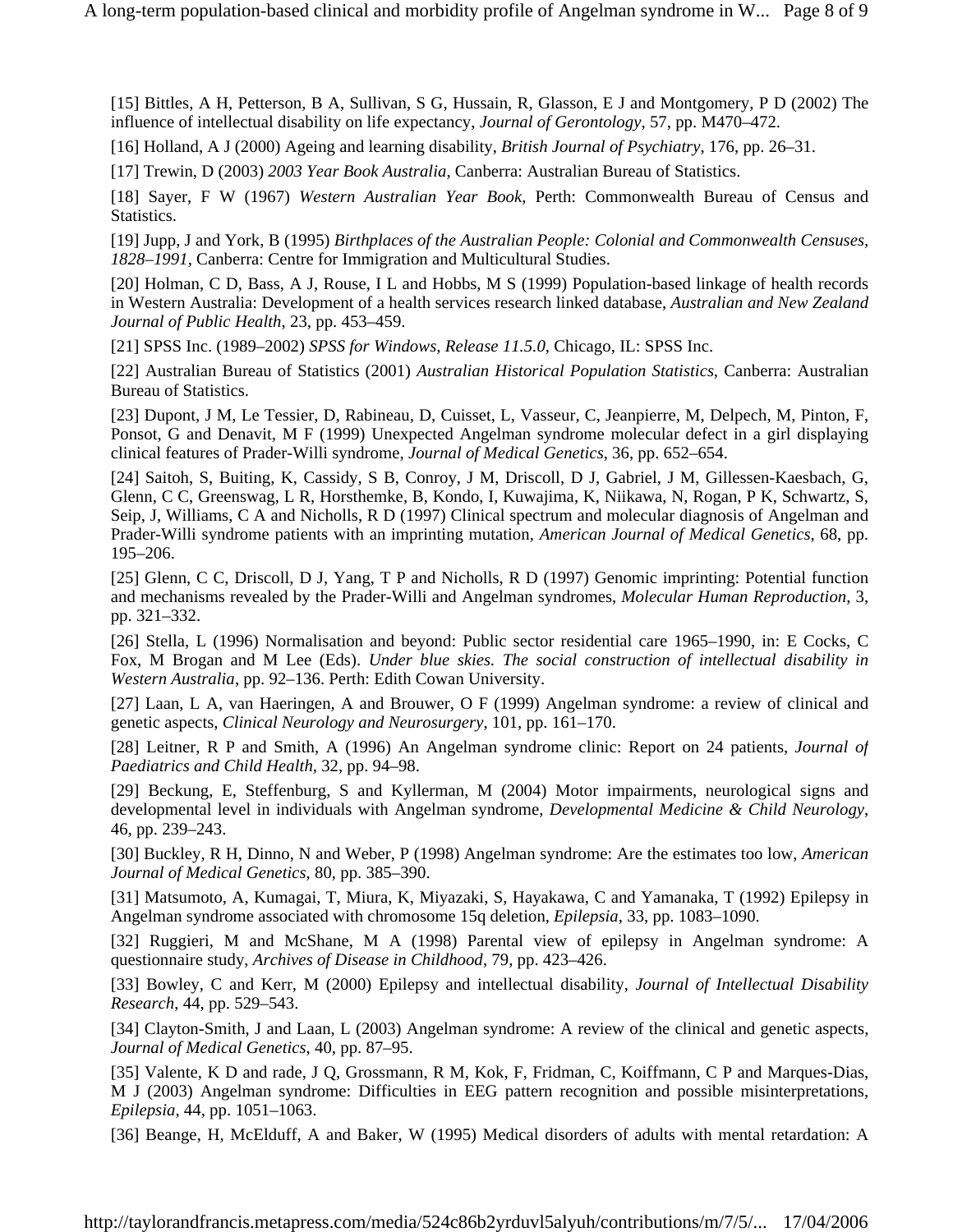[15] Bittles, A H, Petterson, B A, Sullivan, S G, Hussain, R, Glasson, E J and Montgomery, P D (2002) The influence of intellectual disability on life expectancy, *Journal of Gerontology*, 57, pp. M470–472.

[16] Holland, A J (2000) Ageing and learning disability, *British Journal of Psychiatry*, 176, pp. 26–31.

[17] Trewin, D (2003) *2003 Year Book Australia*, Canberra: Australian Bureau of Statistics.

[18] Sayer, F W (1967) *Western Australian Year Book*, Perth: Commonwealth Bureau of Census and Statistics.

[19] Jupp, J and York, B (1995) *Birthplaces of the Australian People: Colonial and Commonwealth Censuses, 1828–1991*, Canberra: Centre for Immigration and Multicultural Studies.

[20] Holman, C D, Bass, A J, Rouse, I L and Hobbs, M S (1999) Population-based linkage of health records in Western Australia: Development of a health services research linked database, *Australian and New Zealand Journal of Public Health*, 23, pp. 453–459.

[21] SPSS Inc. (1989–2002) *SPSS for Windows, Release 11.5.0*, Chicago, IL: SPSS Inc.

[22] Australian Bureau of Statistics (2001) *Australian Historical Population Statistics*, Canberra: Australian Bureau of Statistics.

[23] Dupont, J M, Le Tessier, D, Rabineau, D, Cuisset, L, Vasseur, C, Jeanpierre, M, Delpech, M, Pinton, F, Ponsot, G and Denavit, M F (1999) Unexpected Angelman syndrome molecular defect in a girl displaying clinical features of Prader-Willi syndrome, *Journal of Medical Genetics*, 36, pp. 652–654.

[24] Saitoh, S, Buiting, K, Cassidy, S B, Conroy, J M, Driscoll, D J, Gabriel, J M, Gillessen-Kaesbach, G, Glenn, C C, Greenswag, L R, Horsthemke, B, Kondo, I, Kuwajima, K, Niikawa, N, Rogan, P K, Schwartz, S, Seip, J, Williams, C A and Nicholls, R D (1997) Clinical spectrum and molecular diagnosis of Angelman and Prader-Willi syndrome patients with an imprinting mutation, *American Journal of Medical Genetics*, 68, pp. 195–206.

[25] Glenn, C C, Driscoll, D J, Yang, T P and Nicholls, R D (1997) Genomic imprinting: Potential function and mechanisms revealed by the Prader-Willi and Angelman syndromes, *Molecular Human Reproduction*, 3, pp. 321–332.

[26] Stella, L (1996) Normalisation and beyond: Public sector residential care 1965–1990, in: E Cocks, C Fox, M Brogan and M Lee (Eds). *Under blue skies. The social construction of intellectual disability in Western Australia*, pp. 92–136. Perth: Edith Cowan University.

[27] Laan, L A, van Haeringen, A and Brouwer, O F (1999) Angelman syndrome: a review of clinical and genetic aspects, *Clinical Neurology and Neurosurgery*, 101, pp. 161–170.

[28] Leitner, R P and Smith, A (1996) An Angelman syndrome clinic: Report on 24 patients, *Journal of Paediatrics and Child Health*, 32, pp. 94–98.

[29] Beckung, E, Steffenburg, S and Kyllerman, M (2004) Motor impairments, neurological signs and developmental level in individuals with Angelman syndrome, *Developmental Medicine & Child Neurology*, 46, pp. 239–243.

[30] Buckley, R H, Dinno, N and Weber, P (1998) Angelman syndrome: Are the estimates too low, *American Journal of Medical Genetics*, 80, pp. 385–390.

[31] Matsumoto, A, Kumagai, T, Miura, K, Miyazaki, S, Hayakawa, C and Yamanaka, T (1992) Epilepsy in Angelman syndrome associated with chromosome 15q deletion, *Epilepsia*, 33, pp. 1083–1090.

[32] Ruggieri, M and McShane, M A (1998) Parental view of epilepsy in Angelman syndrome: A questionnaire study, *Archives of Disease in Childhood*, 79, pp. 423–426.

[33] Bowley, C and Kerr, M (2000) Epilepsy and intellectual disability, *Journal of Intellectual Disability Research*, 44, pp. 529–543.

[34] Clayton-Smith, J and Laan, L (2003) Angelman syndrome: A review of the clinical and genetic aspects, *Journal of Medical Genetics*, 40, pp. 87–95.

[35] Valente, K D and rade, J Q, Grossmann, R M, Kok, F, Fridman, C, Koiffmann, C P and Marques-Dias, M J (2003) Angelman syndrome: Difficulties in EEG pattern recognition and possible misinterpretations, *Epilepsia*, 44, pp. 1051–1063.

[36] Beange, H, McElduff, A and Baker, W (1995) Medical disorders of adults with mental retardation: A